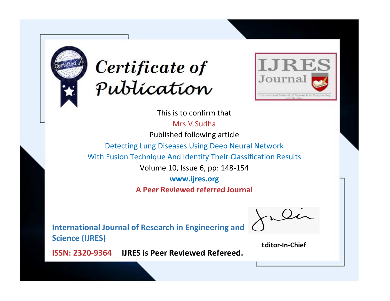



This is to confirm that Mrs.V.Sudha

Published following article

Detecting Lung Diseases Using Deep Neural Network

With Fusion Technique And Identify Their Classification Results

Volume 10, Issue 6, pp: 148-154

**www.ijres.org**

**A Peer Reviewed referred Journal**

**International Journal of Research in Engineering and Science (IJRES)**

\_\_\_\_\_\_\_\_\_\_\_\_\_\_\_\_\_\_\_\_\_\_\_\_ **Editor-In-Chief**

**Journal.**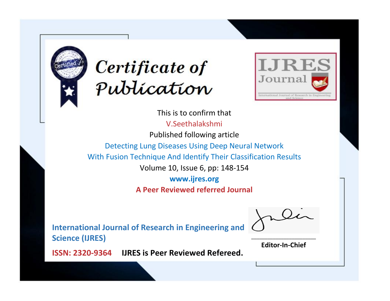



This is to confirm that V.Seethalakshmi Published following article Detecting Lung Diseases Using Deep Neural Network With Fusion Technique And Identify Their Classification Results Volume 10, Issue 6, pp: 148-154 **www.ijres.org A Peer Reviewed referred Journal**

**International Journal of Research in Engineering and Science (IJRES)**

\_\_\_\_\_\_\_\_\_\_\_\_\_\_\_\_\_\_\_\_\_\_\_\_ **Editor-In-Chief**

**Journal.**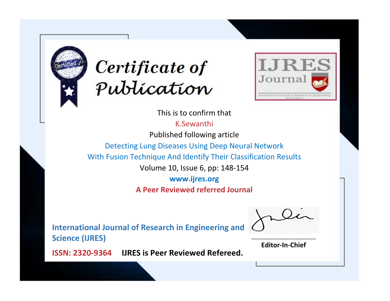



This is to confirm that

K.Sewanthi

Published following article

Detecting Lung Diseases Using Deep Neural Network

With Fusion Technique And Identify Their Classification Results

Volume 10, Issue 6, pp: 148-154

**www.ijres.org**

**A Peer Reviewed referred Journal**

**International Journal of Research in Engineering and Science (IJRES)**

\_\_\_\_\_\_\_\_\_\_\_\_\_\_\_\_\_\_\_\_\_\_\_\_ **Editor-In-Chief**

**Journal.**